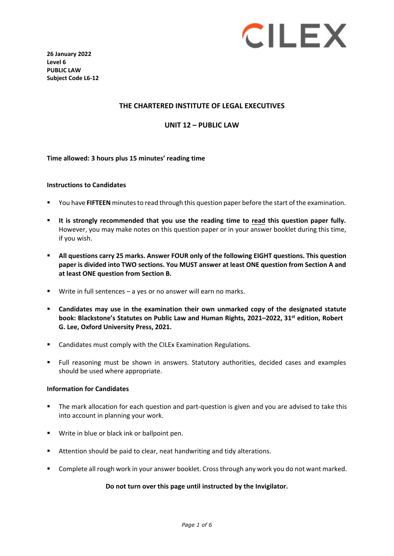

**26 January 2022 Level 6 PUBLIC LAW Subject Code L6-12** 

## **THE CHARTERED INSTITUTE OF LEGAL EXECUTIVES**

**UNIT 12 – PUBLIC LAW** 

#### **Time allowed: 3 hours plus 15 minutes' reading time**

#### **Instructions to Candidates**

- You have **FIFTEEN** minutesto read through this question paper before the start of the examination.
- **It is strongly recommended that you use the reading time to read this question paper fully.** However, you may make notes on this question paper or in your answer booklet during this time, if you wish.
- **All questions carry 25 marks. Answer FOUR only of the following EIGHT questions. This question paper is divided into TWO sections. You MUST answer at least ONE question from Section A and at least ONE question from Section B.**
- Write in full sentences a yes or no answer will earn no marks.
- **Candidates may use in the examination their own unmarked copy of the designated statute book: Blackstone's Statutes on Public Law and Human Rights, 2021–2022, 31 st edition, Robert G. Lee, Oxford University Press, 2021.**
- **EXEC** Candidates must comply with the CILEx Examination Regulations.
- Full reasoning must be shown in answers. Statutory authorities, decided cases and examples should be used where appropriate.

#### **Information for Candidates**

- The mark allocation for each question and part-question is given and you are advised to take this into account in planning your work.
- **Write in blue or black ink or ballpoint pen.**
- Attention should be paid to clear, neat handwriting and tidy alterations.
- **Complete all rough work in your answer booklet. Cross through any work you do not want marked.**

#### **Do not turn over this page until instructed by the Invigilator.**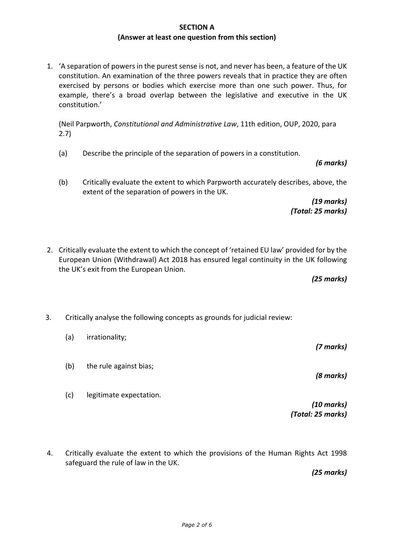## **SECTION A (Answer at least one question from this section)**

1. 'A separation of powers in the purest sense is not, and never has been, a feature of the UK constitution. An examination of the three powers reveals that in practice they are often exercised by persons or bodies which exercise more than one such power. Thus, for example, there's a broad overlap between the legislative and executive in the UK constitution.'

(Neil Parpworth, *Constitutional and Administrative Law*, 11th edition, OUP, 2020, para 2.7)

- (a) Describe the principle of the separation of powers in a constitution.
- (b) Critically evaluate the extent to which Parpworth accurately describes, above, the extent of the separation of powers in the UK.

*(19 marks) (Total: 25 marks)*

2. Critically evaluate the extent to which the concept of 'retained EU law' provided for by the European Union (Withdrawal) Act 2018 has ensured legal continuity in the UK following the UK's exit from the European Union.

*(25 marks)*

- 3. Critically analyse the following concepts as grounds for judicial review:
	- (a) irrationality;
	- (b) the rule against bias;
	- (c) legitimate expectation.

4. Critically evaluate the extent to which the provisions of the Human Rights Act 1998 safeguard the rule of law in the UK.

*(25 marks)*

*(Total: 25 marks)*

*(7 marks)*

*(8 marks)*

*(10 marks)*

*(6 marks)*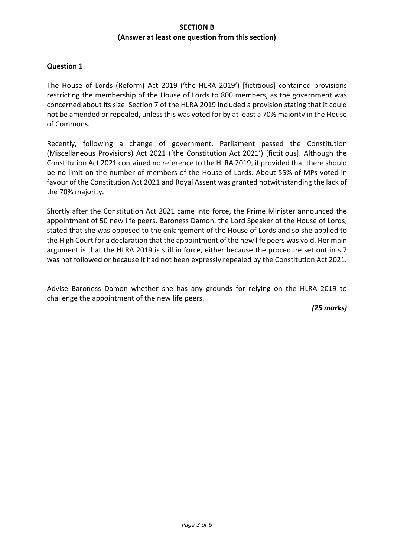## **SECTION B (Answer at least one question from this section)**

## **Question 1**

The House of Lords (Reform) Act 2019 ('the HLRA 2019') [fictitious] contained provisions restricting the membership of the House of Lords to 800 members, as the government was concerned about its size. Section 7 of the HLRA 2019 included a provision stating that it could not be amended or repealed, unless this was voted for by at least a 70% majority in the House of Commons.

Recently, following a change of government, Parliament passed the Constitution (Miscellaneous Provisions) Act 2021 ('the Constitution Act 2021') [fictitious]. Although the Constitution Act 2021 contained no reference to the HLRA 2019, it provided that there should be no limit on the number of members of the House of Lords. About 55% of MPs voted in favour of the Constitution Act 2021 and Royal Assent was granted notwithstanding the lack of the 70% majority.

Shortly after the Constitution Act 2021 came into force, the Prime Minister announced the appointment of 50 new life peers. Baroness Damon, the Lord Speaker of the House of Lords, stated that she was opposed to the enlargement of the House of Lords and so she applied to the High Court for a declaration that the appointment of the new life peers was void. Her main argument is that the HLRA 2019 is still in force, either because the procedure set out in s.7 was not followed or because it had not been expressly repealed by the Constitution Act 2021.

Advise Baroness Damon whether she has any grounds for relying on the HLRA 2019 to challenge the appointment of the new life peers.

*(25 marks)*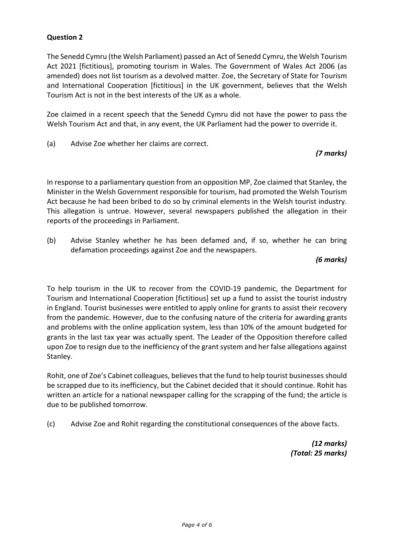# **Question 2**

The Senedd Cymru (the Welsh Parliament) passed an Act of Senedd Cymru, the Welsh Tourism Act 2021 [fictitious], promoting tourism in Wales. The Government of Wales Act 2006 (as amended) does not list tourism as a devolved matter. Zoe, the Secretary of State for Tourism and International Cooperation [fictitious] in the UK government, believes that the Welsh Tourism Act is not in the best interests of the UK as a whole.

Zoe claimed in a recent speech that the Senedd Cymru did not have the power to pass the Welsh Tourism Act and that, in any event, the UK Parliament had the power to override it.

(a) Advise Zoe whether her claims are correct.

# *(7 marks)*

In response to a parliamentary question from an opposition MP, Zoe claimed that Stanley, the Minister in the Welsh Government responsible for tourism, had promoted the Welsh Tourism Act because he had been bribed to do so by criminal elements in the Welsh tourist industry. This allegation is untrue. However, several newspapers published the allegation in their reports of the proceedings in Parliament.

(b) Advise Stanley whether he has been defamed and, if so, whether he can bring defamation proceedings against Zoe and the newspapers.

*(6 marks)*

To help tourism in the UK to recover from the COVID-19 pandemic, the Department for Tourism and International Cooperation [fictitious] set up a fund to assist the tourist industry in England. Tourist businesses were entitled to apply online for grants to assist their recovery from the pandemic. However, due to the confusing nature of the criteria for awarding grants and problems with the online application system, less than 10% of the amount budgeted for grants in the last tax year was actually spent. The Leader of the Opposition therefore called upon Zoe to resign due to the inefficiency of the grant system and her false allegations against Stanley.

Rohit, one of Zoe's Cabinet colleagues, believes that the fund to help tourist businesses should be scrapped due to its inefficiency, but the Cabinet decided that it should continue. Rohit has written an article for a national newspaper calling for the scrapping of the fund; the article is due to be published tomorrow.

(c) Advise Zoe and Rohit regarding the constitutional consequences of the above facts.

*(12 marks) (Total: 25 marks)*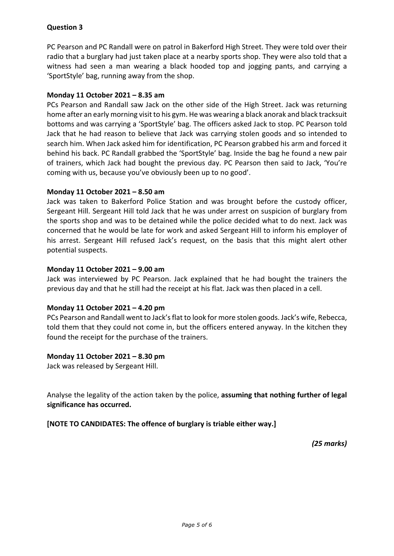# **Question 3**

PC Pearson and PC Randall were on patrol in Bakerford High Street. They were told over their radio that a burglary had just taken place at a nearby sports shop. They were also told that a witness had seen a man wearing a black hooded top and jogging pants, and carrying a 'SportStyle' bag, running away from the shop.

## **Monday 11 October 2021 – 8.35 am**

PCs Pearson and Randall saw Jack on the other side of the High Street. Jack was returning home after an early morning visit to his gym. He was wearing a black anorak and black tracksuit bottoms and was carrying a 'SportStyle' bag. The officers asked Jack to stop. PC Pearson told Jack that he had reason to believe that Jack was carrying stolen goods and so intended to search him. When Jack asked him for identification, PC Pearson grabbed his arm and forced it behind his back. PC Randall grabbed the 'SportStyle' bag. Inside the bag he found a new pair of trainers, which Jack had bought the previous day. PC Pearson then said to Jack, 'You're coming with us, because you've obviously been up to no good'.

## **Monday 11 October 2021 – 8.50 am**

Jack was taken to Bakerford Police Station and was brought before the custody officer, Sergeant Hill. Sergeant Hill told Jack that he was under arrest on suspicion of burglary from the sports shop and was to be detained while the police decided what to do next. Jack was concerned that he would be late for work and asked Sergeant Hill to inform his employer of his arrest. Sergeant Hill refused Jack's request, on the basis that this might alert other potential suspects.

## **Monday 11 October 2021 – 9.00 am**

Jack was interviewed by PC Pearson. Jack explained that he had bought the trainers the previous day and that he still had the receipt at his flat. Jack was then placed in a cell.

## **Monday 11 October 2021 – 4.20 pm**

PCs Pearson and Randall went to Jack's flat to look for more stolen goods. Jack's wife, Rebecca, told them that they could not come in, but the officers entered anyway. In the kitchen they found the receipt for the purchase of the trainers.

## **Monday 11 October 2021 – 8.30 pm**

Jack was released by Sergeant Hill.

Analyse the legality of the action taken by the police, **assuming that nothing further of legal significance has occurred.**

## **[NOTE TO CANDIDATES: The offence of burglary is triable either way.]**

*(25 marks)*